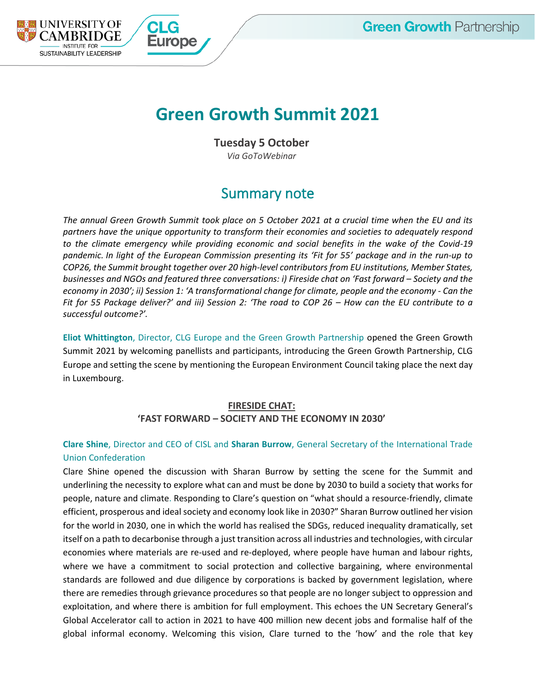# **Green Growth Summit 2021**

**Tuesday 5 October**

*Via GoToWebinar*

# Summary note

*The annual Green Growth Summit took place on 5 October 2021 at a crucial time when the EU and its partners have the unique opportunity to transform their economies and societies to adequately respond to the climate emergency while providing economic and social benefits in the wake of the Covid-19 pandemic. In light of the European Commission presenting its 'Fit for 55' package and in the run-up to COP26, the Summit brought together over 20 high-level contributors from EU institutions, Member States, businesses and NGOs and featured three conversations: i) Fireside chat on 'Fast forward – Society and the economy in 2030'; ii) Session 1: 'A transformational change for climate, people and the economy - Can the Fit for 55 Package deliver?' and iii) Session 2: 'The road to COP 26 – How can the EU contribute to a successful outcome?'.*

**Eliot Whittington**, Director, CLG Europe and the Green Growth Partnership opened the Green Growth Summit 2021 by welcoming panellists and participants, introducing the Green Growth Partnership, CLG Europe and setting the scene by mentioning the European Environment Council taking place the next day in Luxembourg.

# **FIRESIDE CHAT: 'FAST FORWARD – SOCIETY AND THE ECONOMY IN 2030'**

# **Clare Shine**, Director and CEO of CISL and **Sharan Burrow**, General Secretary of the International Trade Union Confederation

Clare Shine opened the discussion with Sharan Burrow by setting the scene for the Summit and underlining the necessity to explore what can and must be done by 2030 to build a society that works for people, nature and climate. Responding to Clare's question on "what should a resource-friendly, climate efficient, prosperous and ideal society and economy look like in 2030?" Sharan Burrow outlined her vision for the world in 2030, one in which the world has realised the SDGs, reduced inequality dramatically, set itself on a path to decarbonise through a just transition across all industries and technologies, with circular economies where materials are re-used and re-deployed, where people have human and labour rights, where we have a commitment to social protection and collective bargaining, where environmental standards are followed and due diligence by corporations is backed by government legislation, where there are remedies through grievance procedures so that people are no longer subject to oppression and exploitation, and where there is ambition for full employment. This echoes the UN Secretary General's Global Accelerator call to action in 2021 to have 400 million new decent jobs and formalise half of the global informal economy. Welcoming this vision, Clare turned to the 'how' and the role that key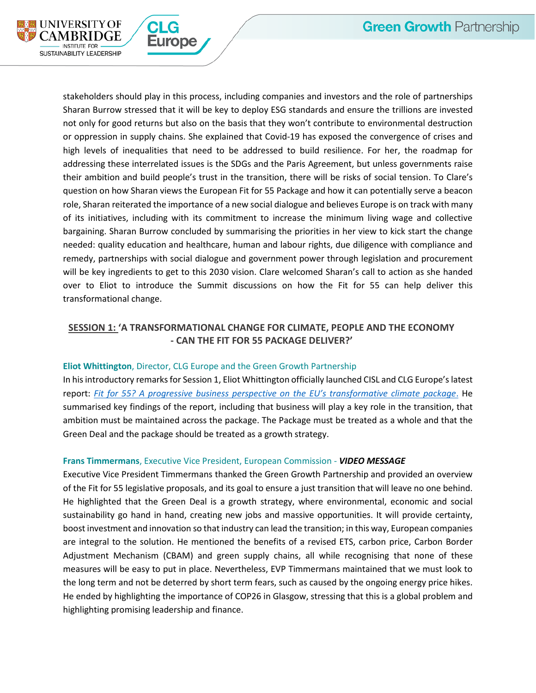

stakeholders should play in this process, including companies and investors and the role of partnerships Sharan Burrow stressed that it will be key to deploy ESG standards and ensure the trillions are invested not only for good returns but also on the basis that they won't contribute to environmental destruction or oppression in supply chains. She explained that Covid-19 has exposed the convergence of crises and high levels of inequalities that need to be addressed to build resilience. For her, the roadmap for addressing these interrelated issues is the SDGs and the Paris Agreement, but unless governments raise their ambition and build people's trust in the transition, there will be risks of social tension. To Clare's question on how Sharan views the European Fit for 55 Package and how it can potentially serve a beacon role, Sharan reiterated the importance of a new social dialogue and believes Europe is on track with many of its initiatives, including with its commitment to increase the minimum living wage and collective bargaining. Sharan Burrow concluded by summarising the priorities in her view to kick start the change needed: quality education and healthcare, human and labour rights, due diligence with compliance and remedy, partnerships with social dialogue and government power through legislation and procurement will be key ingredients to get to this 2030 vision. Clare welcomed Sharan's call to action as she handed over to Eliot to introduce the Summit discussions on how the Fit for 55 can help deliver this transformational change.

### **SESSION 1: 'A TRANSFORMATIONAL CHANGE FOR CLIMATE, PEOPLE AND THE ECONOMY - CAN THE FIT FOR 55 PACKAGE DELIVER?'**

#### **Eliot Whittington**, Director, CLG Europe and the Green Growth Partnership

**±urope** 

In his introductory remarks for Session 1, Eliot Whittington officially launched CISL and CLG Europe's latest report: *[Fit for 55? A progressive business perspective on the EU's transformative climate package](https://www.corporateleadersgroup.com/fit-for-55-a-progressive-business-perspective-on-the-eus-transformative-climate-package#:~:text=%E2%80%9CThe%20EU%20Fit%20for%2055,to%20become%20the%20new%20norm.)*. He summarised key findings of the report, including that business will play a key role in the transition, that ambition must be maintained across the package. The Package must be treated as a whole and that the Green Deal and the package should be treated as a growth strategy.

#### **Frans Timmermans**, Executive Vice President, European Commission - *VIDEO MESSAGE*

Executive Vice President Timmermans thanked the Green Growth Partnership and provided an overview of the Fit for 55 legislative proposals, and its goal to ensure a just transition that will leave no one behind. He highlighted that the Green Deal is a growth strategy, where environmental, economic and social sustainability go hand in hand, creating new jobs and massive opportunities. It will provide certainty, boost investment and innovation so that industry can lead the transition; in this way, European companies are integral to the solution. He mentioned the benefits of a revised ETS, carbon price, Carbon Border Adjustment Mechanism (CBAM) and green supply chains, all while recognising that none of these measures will be easy to put in place. Nevertheless, EVP Timmermans maintained that we must look to the long term and not be deterred by short term fears, such as caused by the ongoing energy price hikes. He ended by highlighting the importance of COP26 in Glasgow, stressing that this is a global problem and highlighting promising leadership and finance.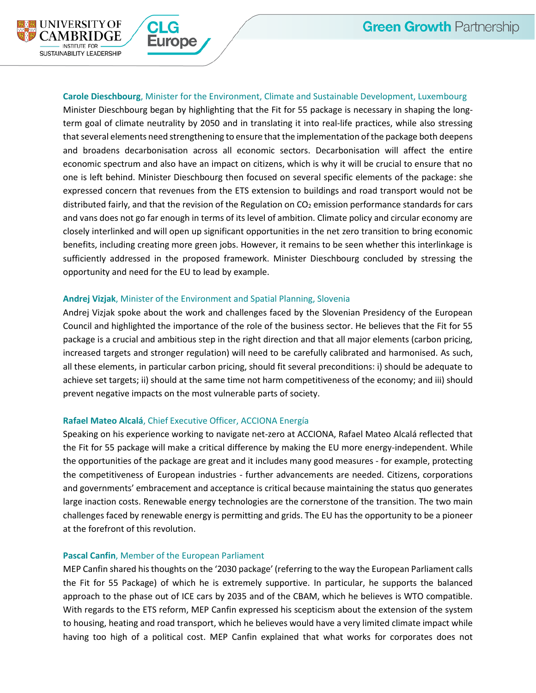

#### **Carole Dieschbourg**, Minister for the Environment, Climate and Sustainable Development, Luxembourg

Minister Dieschbourg began by highlighting that the Fit for 55 package is necessary in shaping the longterm goal of climate neutrality by 2050 and in translating it into real-life practices, while also stressing that several elements need strengthening to ensure that the implementation of the package both deepens and broadens decarbonisation across all economic sectors. Decarbonisation will affect the entire economic spectrum and also have an impact on citizens, which is why it will be crucial to ensure that no one is left behind. Minister Dieschbourg then focused on several specific elements of the package: she expressed concern that revenues from the ETS extension to buildings and road transport would not be distributed fairly, and that the revision of the Regulation on CO<sub>2</sub> emission performance standards for cars and vans does not go far enough in terms of its level of ambition. Climate policy and circular economy are closely interlinked and will open up significant opportunities in the net zero transition to bring economic benefits, including creating more green jobs. However, it remains to be seen whether this interlinkage is sufficiently addressed in the proposed framework. Minister Dieschbourg concluded by stressing the opportunity and need for the EU to lead by example.

#### **Andrej Vizjak**, Minister of the Environment and Spatial Planning, Slovenia

rope

Andrej Vizjak spoke about the work and challenges faced by the Slovenian Presidency of the European Council and highlighted the importance of the role of the business sector. He believes that the Fit for 55 package is a crucial and ambitious step in the right direction and that all major elements (carbon pricing, increased targets and stronger regulation) will need to be carefully calibrated and harmonised. As such, all these elements, in particular carbon pricing, should fit several preconditions: i) should be adequate to achieve set targets; ii) should at the same time not harm competitiveness of the economy; and iii) should prevent negative impacts on the most vulnerable parts of society.

#### **Rafael Mateo Alcalá**, Chief Executive Officer, ACCIONA Energía

Speaking on his experience working to navigate net-zero at ACCIONA, Rafael Mateo Alcalá reflected that the Fit for 55 package will make a critical difference by making the EU more energy-independent. While the opportunities of the package are great and it includes many good measures - for example, protecting the competitiveness of European industries - further advancements are needed. Citizens, corporations and governments' embracement and acceptance is critical because maintaining the status quo generates large inaction costs. Renewable energy technologies are the cornerstone of the transition. The two main challenges faced by renewable energy is permitting and grids. The EU has the opportunity to be a pioneer at the forefront of this revolution.

#### **Pascal Canfin**, Member of the European Parliament

MEP Canfin shared his thoughts on the '2030 package' (referring to the way the European Parliament calls the Fit for 55 Package) of which he is extremely supportive. In particular, he supports the balanced approach to the phase out of ICE cars by 2035 and of the CBAM, which he believes is WTO compatible. With regards to the ETS reform, MEP Canfin expressed his scepticism about the extension of the system to housing, heating and road transport, which he believes would have a very limited climate impact while having too high of a political cost. MEP Canfin explained that what works for corporates does not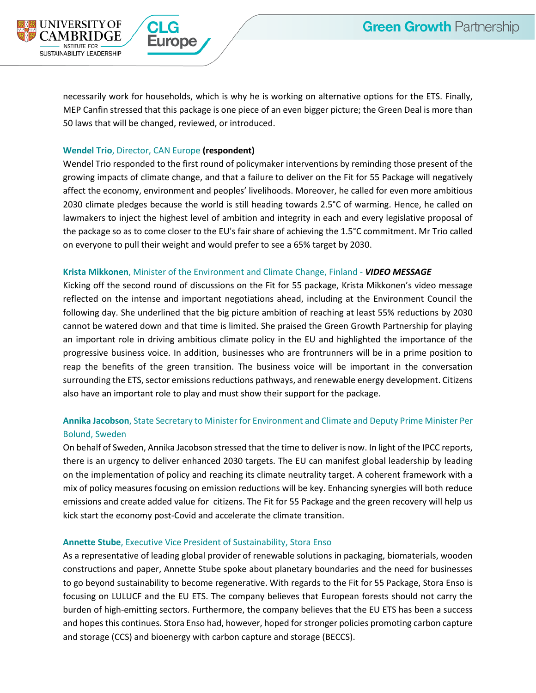UNIVERSITY OF

**NSTITUTE FOR TAINABILITY LEADERSHIP** 

necessarily work for households, which is why he is working on alternative options for the ETS. Finally, MEP Canfin stressed that this package is one piece of an even bigger picture; the Green Deal is more than 50 laws that will be changed, reviewed, or introduced.

#### **Wendel Trio**, Director, CAN Europe **(respondent)**

Wendel Trio responded to the first round of policymaker interventions by reminding those present of the growing impacts of climate change, and that a failure to deliver on the Fit for 55 Package will negatively affect the economy, environment and peoples' livelihoods. Moreover, he called for even more ambitious 2030 climate pledges because the world is still heading towards 2.5°C of warming. Hence, he called on lawmakers to inject the highest level of ambition and integrity in each and every legislative proposal of the package so as to come closer to the EU's fair share of achieving the 1.5°C commitment. Mr Trio called on everyone to pull their weight and would prefer to see a 65% target by 2030.

#### **Krista Mikkonen**, Minister of the Environment and Climate Change, Finland - *VIDEO MESSAGE*

Kicking off the second round of discussions on the Fit for 55 package, Krista Mikkonen's video message reflected on the intense and important negotiations ahead, including at the Environment Council the following day. She underlined that the big picture ambition of reaching at least 55% reductions by 2030 cannot be watered down and that time is limited. She praised the Green Growth Partnership for playing an important role in driving ambitious climate policy in the EU and highlighted the importance of the progressive business voice. In addition, businesses who are frontrunners will be in a prime position to reap the benefits of the green transition. The business voice will be important in the conversation surrounding the ETS, sector emissions reductions pathways, and renewable energy development. Citizens also have an important role to play and must show their support for the package.

# **Annika Jacobson**, State Secretary to Minister for Environment and Climate and Deputy Prime Minister Per Bolund, Sweden

On behalf of Sweden, Annika Jacobson stressed that the time to deliver is now. In light of the IPCC reports, there is an urgency to deliver enhanced 2030 targets. The EU can manifest global leadership by leading on the implementation of policy and reaching its climate neutrality target. A coherent framework with a mix of policy measures focusing on emission reductions will be key. Enhancing synergies will both reduce emissions and create added value for citizens. The Fit for 55 Package and the green recovery will help us kick start the economy post-Covid and accelerate the climate transition.

#### **Annette Stube**, Executive Vice President of Sustainability, Stora Enso

As a representative of leading global provider of renewable solutions in packaging, biomaterials, wooden constructions and paper, Annette Stube spoke about planetary boundaries and the need for businesses to go beyond sustainability to become regenerative. With regards to the Fit for 55 Package, Stora Enso is focusing on LULUCF and the EU ETS. The company believes that European forests should not carry the burden of high-emitting sectors. Furthermore, the company believes that the EU ETS has been a success and hopesthis continues. Stora Enso had, however, hoped for stronger policies promoting carbon capture and storage (CCS) and bioenergy with carbon capture and storage (BECCS).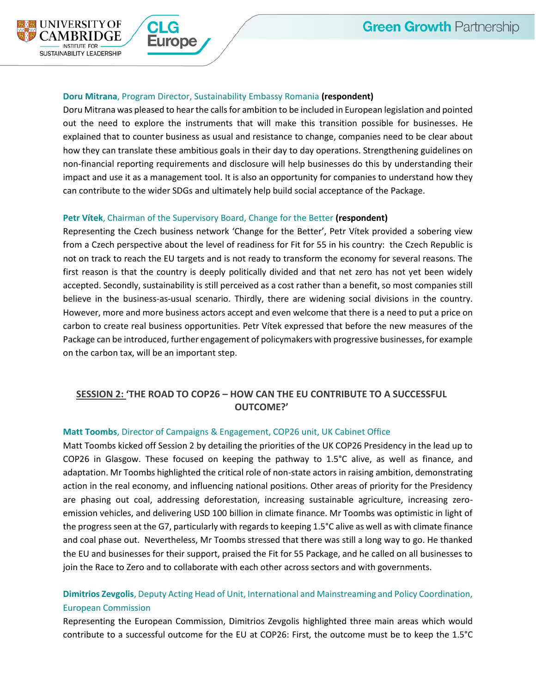

#### **Doru Mitrana**, Program Director, Sustainability Embassy Romania **(respondent)**

Doru Mitrana was pleased to hear the calls for ambition to be included in European legislation and pointed out the need to explore the instruments that will make this transition possible for businesses. He explained that to counter business as usual and resistance to change, companies need to be clear about how they can translate these ambitious goals in their day to day operations. Strengthening guidelines on non-financial reporting requirements and disclosure will help businesses do this by understanding their impact and use it as a management tool. It is also an opportunity for companies to understand how they can contribute to the wider SDGs and ultimately help build social acceptance of the Package.

#### **Petr Vítek**, Chairman of the Supervisory Board, Change for the Better **(respondent)**

Representing the Czech business network 'Change for the Better', Petr Vítek provided a sobering view from a Czech perspective about the level of readiness for Fit for 55 in his country: the Czech Republic is not on track to reach the EU targets and is not ready to transform the economy for several reasons. The first reason is that the country is deeply politically divided and that net zero has not yet been widely accepted. Secondly, sustainability is still perceived as a cost rather than a benefit, so most companies still believe in the business-as-usual scenario. Thirdly, there are widening social divisions in the country. However, more and more business actors accept and even welcome that there is a need to put a price on carbon to create real business opportunities. Petr Vítek expressed that before the new measures of the Package can be introduced, further engagement of policymakers with progressive businesses, for example on the carbon tax, will be an important step.

# **SESSION 2: 'THE ROAD TO COP26 – HOW CAN THE EU CONTRIBUTE TO A SUCCESSFUL OUTCOME?'**

#### **Matt Toombs**, Director of Campaigns & Engagement, COP26 unit, UK Cabinet Office

Matt Toombs kicked off Session 2 by detailing the priorities of the UK COP26 Presidency in the lead up to COP26 in Glasgow. These focused on keeping the pathway to 1.5°C alive, as well as finance, and adaptation. Mr Toombs highlighted the critical role of non-state actors in raising ambition, demonstrating action in the real economy, and influencing national positions. Other areas of priority for the Presidency are phasing out coal, addressing deforestation, increasing sustainable agriculture, increasing zeroemission vehicles, and delivering USD 100 billion in climate finance. Mr Toombs was optimistic in light of the progress seen at the G7, particularly with regards to keeping 1.5°C alive as well as with climate finance and coal phase out. Nevertheless, Mr Toombs stressed that there was still a long way to go. He thanked the EU and businesses for their support, praised the Fit for 55 Package, and he called on all businesses to join the Race to Zero and to collaborate with each other across sectors and with governments.

# **Dimitrios Zevgolis**, Deputy Acting Head of Unit, International and Mainstreaming and Policy Coordination, European Commission

Representing the European Commission, Dimitrios Zevgolis highlighted three main areas which would contribute to a successful outcome for the EU at COP26: First, the outcome must be to keep the 1.5°C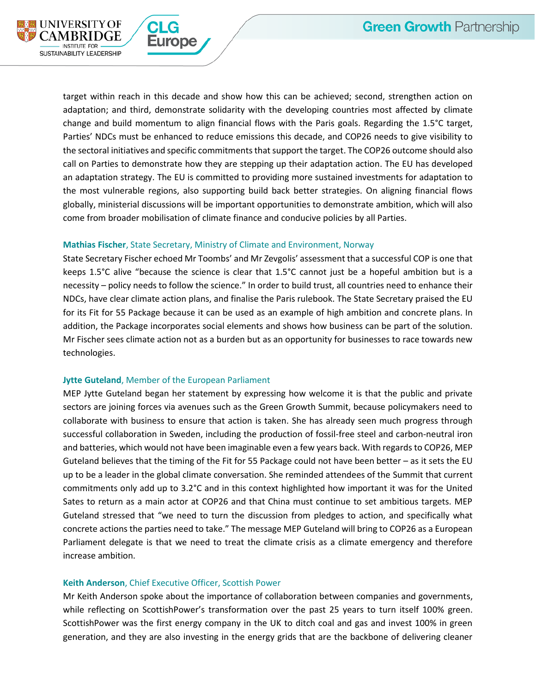

target within reach in this decade and show how this can be achieved; second, strengthen action on adaptation; and third, demonstrate solidarity with the developing countries most affected by climate change and build momentum to align financial flows with the Paris goals. Regarding the 1.5°C target, Parties' NDCs must be enhanced to reduce emissions this decade, and COP26 needs to give visibility to the sectoral initiatives and specific commitments that support the target. The COP26 outcome should also call on Parties to demonstrate how they are stepping up their adaptation action. The EU has developed an adaptation strategy. The EU is committed to providing more sustained investments for adaptation to the most vulnerable regions, also supporting build back better strategies. On aligning financial flows globally, ministerial discussions will be important opportunities to demonstrate ambition, which will also come from broader mobilisation of climate finance and conducive policies by all Parties.

#### **Mathias Fischer**, State Secretary, Ministry of Climate and Environment, Norway

State Secretary Fischer echoed Mr Toombs' and Mr Zevgolis' assessment that a successful COP is one that keeps 1.5°C alive "because the science is clear that 1.5°C cannot just be a hopeful ambition but is a necessity – policy needs to follow the science." In order to build trust, all countries need to enhance their NDCs, have clear climate action plans, and finalise the Paris rulebook. The State Secretary praised the EU for its Fit for 55 Package because it can be used as an example of high ambition and concrete plans. In addition, the Package incorporates social elements and shows how business can be part of the solution. Mr Fischer sees climate action not as a burden but as an opportunity for businesses to race towards new technologies.

#### **Jytte Guteland**, Member of the European Parliament

ırope

MEP Jytte Guteland began her statement by expressing how welcome it is that the public and private sectors are joining forces via avenues such as the Green Growth Summit, because policymakers need to collaborate with business to ensure that action is taken. She has already seen much progress through successful collaboration in Sweden, including the production of fossil-free steel and carbon-neutral iron and batteries, which would not have been imaginable even a few years back. With regards to COP26, MEP Guteland believes that the timing of the Fit for 55 Package could not have been better – as it sets the EU up to be a leader in the global climate conversation. She reminded attendees of the Summit that current commitments only add up to 3.2°C and in this context highlighted how important it was for the United Sates to return as a main actor at COP26 and that China must continue to set ambitious targets. MEP Guteland stressed that "we need to turn the discussion from pledges to action, and specifically what concrete actions the parties need to take." The message MEP Guteland will bring to COP26 as a European Parliament delegate is that we need to treat the climate crisis as a climate emergency and therefore increase ambition.

#### **Keith Anderson**, Chief Executive Officer, Scottish Power

Mr Keith Anderson spoke about the importance of collaboration between companies and governments, while reflecting on ScottishPower's transformation over the past 25 years to turn itself 100% green. ScottishPower was the first energy company in the UK to ditch coal and gas and invest 100% in green generation, and they are also investing in the energy grids that are the backbone of delivering cleaner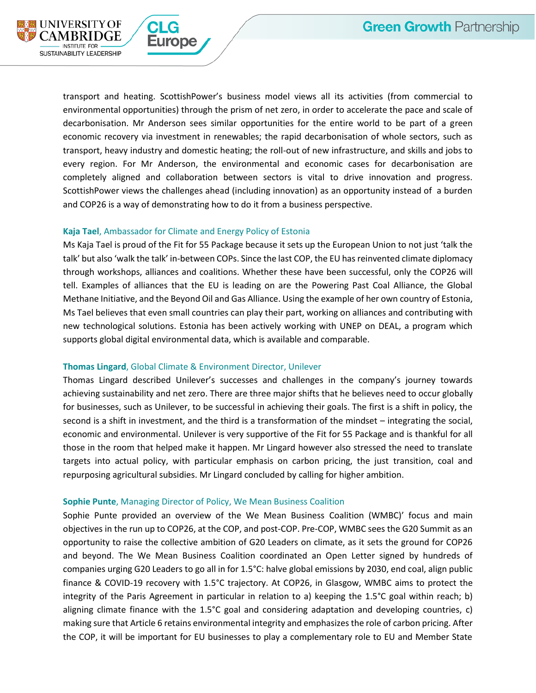

transport and heating. ScottishPower's business model views all its activities (from commercial to environmental opportunities) through the prism of net zero, in order to accelerate the pace and scale of decarbonisation. Mr Anderson sees similar opportunities for the entire world to be part of a green economic recovery via investment in renewables; the rapid decarbonisation of whole sectors, such as transport, heavy industry and domestic heating; the roll-out of new infrastructure, and skills and jobs to every region. For Mr Anderson, the environmental and economic cases for decarbonisation are completely aligned and collaboration between sectors is vital to drive innovation and progress. ScottishPower views the challenges ahead (including innovation) as an opportunity instead of a burden and COP26 is a way of demonstrating how to do it from a business perspective.

#### **Kaja Tael**, Ambassador for Climate and Energy Policy of Estonia

**rope** 

Ms Kaja Tael is proud of the Fit for 55 Package because it sets up the European Union to not just 'talk the talk' but also 'walk the talk' in-between COPs. Since the last COP, the EU has reinvented climate diplomacy through workshops, alliances and coalitions. Whether these have been successful, only the COP26 will tell. Examples of alliances that the EU is leading on are the Powering Past Coal Alliance, the Global Methane Initiative, and the Beyond Oil and Gas Alliance. Using the example of her own country of Estonia, Ms Tael believes that even small countries can play their part, working on alliances and contributing with new technological solutions. Estonia has been actively working with UNEP on DEAL, a program which supports global digital environmental data, which is available and comparable.

#### **Thomas Lingard**, Global Climate & Environment Director, Unilever

Thomas Lingard described Unilever's successes and challenges in the company's journey towards achieving sustainability and net zero. There are three major shifts that he believes need to occur globally for businesses, such as Unilever, to be successful in achieving their goals. The first is a shift in policy, the second is a shift in investment, and the third is a transformation of the mindset – integrating the social, economic and environmental. Unilever is very supportive of the Fit for 55 Package and is thankful for all those in the room that helped make it happen. Mr Lingard however also stressed the need to translate targets into actual policy, with particular emphasis on carbon pricing, the just transition, coal and repurposing agricultural subsidies. Mr Lingard concluded by calling for higher ambition.

#### **Sophie Punte**, Managing Director of Policy, We Mean Business Coalition

Sophie Punte provided an overview of the We Mean Business Coalition (WMBC)' focus and main objectives in the run up to COP26, at the COP, and post-COP. Pre-COP, WMBC sees the G20 Summit as an opportunity to raise the collective ambition of G20 Leaders on climate, as it sets the ground for COP26 and beyond. The We Mean Business Coalition coordinated an Open Letter signed by hundreds of companies urging G20 Leaders to go all in for 1.5°C: halve global emissions by 2030, end coal, align public finance & COVID-19 recovery with 1.5°C trajectory. At COP26, in Glasgow, WMBC aims to protect the integrity of the Paris Agreement in particular in relation to a) keeping the 1.5°C goal within reach; b) aligning climate finance with the 1.5°C goal and considering adaptation and developing countries, c) making sure that Article 6 retains environmental integrity and emphasizes the role of carbon pricing. After the COP, it will be important for EU businesses to play a complementary role to EU and Member State